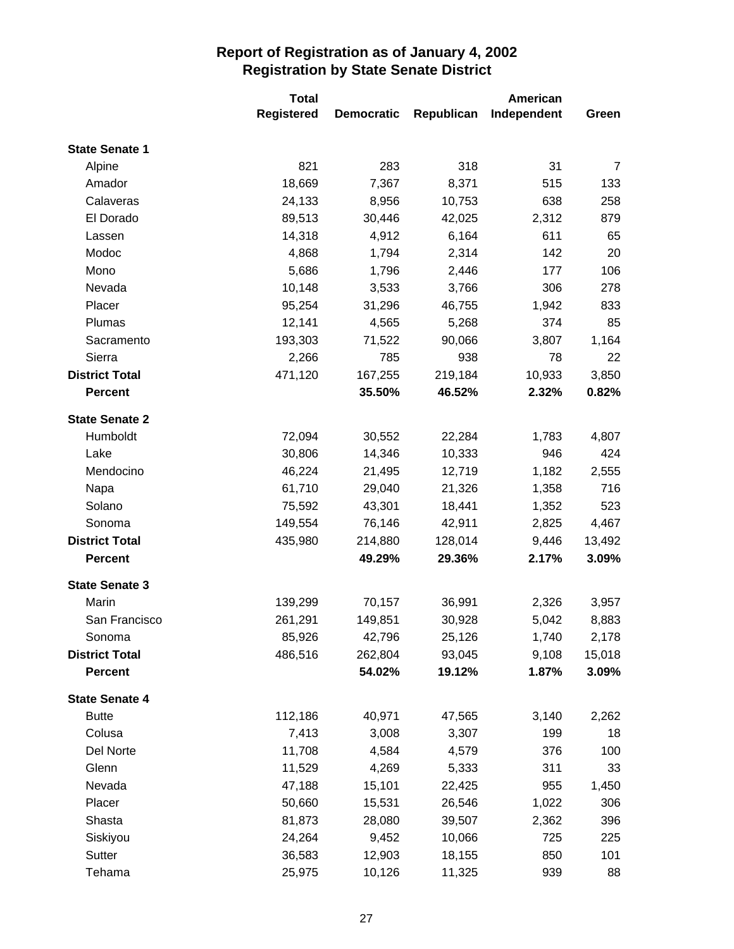|                       | <b>Total</b>      |                   |            | <b>American</b> |        |
|-----------------------|-------------------|-------------------|------------|-----------------|--------|
|                       | <b>Registered</b> | <b>Democratic</b> | Republican | Independent     | Green  |
| <b>State Senate 1</b> |                   |                   |            |                 |        |
| Alpine                | 821               | 283               | 318        | 31              | 7      |
| Amador                | 18,669            | 7,367             | 8,371      | 515             | 133    |
| Calaveras             | 24,133            | 8,956             | 10,753     | 638             | 258    |
| El Dorado             | 89,513            | 30,446            | 42,025     | 2,312           | 879    |
| Lassen                | 14,318            | 4,912             | 6,164      | 611             | 65     |
| Modoc                 | 4,868             | 1,794             | 2,314      | 142             | 20     |
| Mono                  | 5,686             | 1,796             | 2,446      | 177             | 106    |
| Nevada                | 10,148            | 3,533             | 3,766      | 306             | 278    |
| Placer                | 95,254            | 31,296            | 46,755     | 1,942           | 833    |
| Plumas                | 12,141            | 4,565             | 5,268      | 374             | 85     |
| Sacramento            | 193,303           | 71,522            | 90,066     | 3,807           | 1,164  |
| Sierra                | 2,266             | 785               | 938        | 78              | 22     |
| <b>District Total</b> | 471,120           | 167,255           | 219,184    | 10,933          | 3,850  |
| <b>Percent</b>        |                   | 35.50%            | 46.52%     | 2.32%           | 0.82%  |
| <b>State Senate 2</b> |                   |                   |            |                 |        |
| Humboldt              | 72,094            | 30,552            | 22,284     | 1,783           | 4,807  |
| Lake                  | 30,806            | 14,346            | 10,333     | 946             | 424    |
| Mendocino             | 46,224            | 21,495            | 12,719     | 1,182           | 2,555  |
| Napa                  | 61,710            | 29,040            | 21,326     | 1,358           | 716    |
| Solano                | 75,592            | 43,301            | 18,441     | 1,352           | 523    |
| Sonoma                | 149,554           | 76,146            | 42,911     | 2,825           | 4,467  |
| <b>District Total</b> | 435,980           | 214,880           | 128,014    | 9,446           | 13,492 |
| <b>Percent</b>        |                   | 49.29%            | 29.36%     | 2.17%           | 3.09%  |
| <b>State Senate 3</b> |                   |                   |            |                 |        |
| Marin                 | 139,299           | 70,157            | 36,991     | 2,326           | 3,957  |
| San Francisco         | 261,291           | 149,851           | 30,928     | 5,042           | 8,883  |
| Sonoma                | 85,926            | 42,796            | 25,126     | 1,740           | 2,178  |
| <b>District Total</b> | 486,516           | 262,804           | 93,045     | 9,108           | 15,018 |
| <b>Percent</b>        |                   | 54.02%            | 19.12%     | 1.87%           | 3.09%  |
| <b>State Senate 4</b> |                   |                   |            |                 |        |
| <b>Butte</b>          | 112,186           | 40,971            | 47,565     | 3,140           | 2,262  |
| Colusa                | 7,413             | 3,008             | 3,307      | 199             | 18     |
| Del Norte             | 11,708            | 4,584             | 4,579      | 376             | 100    |
| Glenn                 | 11,529            | 4,269             | 5,333      | 311             | 33     |
| Nevada                | 47,188            | 15,101            | 22,425     | 955             | 1,450  |
| Placer                | 50,660            | 15,531            | 26,546     | 1,022           | 306    |
| Shasta                | 81,873            | 28,080            | 39,507     | 2,362           | 396    |
| Siskiyou              | 24,264            | 9,452             | 10,066     | 725             | 225    |
| Sutter                | 36,583            | 12,903            | 18,155     | 850             | 101    |
| Tehama                | 25,975            | 10,126            | 11,325     | 939             | 88     |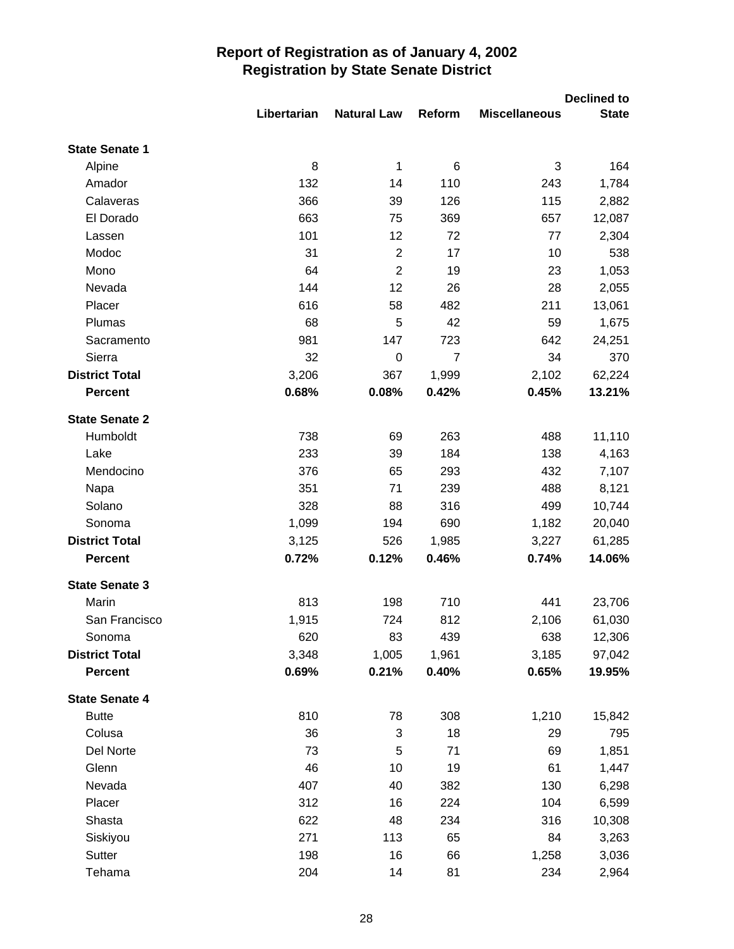|                       |             |                    |                |                      | <b>Declined to</b> |
|-----------------------|-------------|--------------------|----------------|----------------------|--------------------|
|                       | Libertarian | <b>Natural Law</b> | Reform         | <b>Miscellaneous</b> | <b>State</b>       |
| <b>State Senate 1</b> |             |                    |                |                      |                    |
| Alpine                | 8           | $\mathbf 1$        | 6              | 3                    | 164                |
| Amador                | 132         | 14                 | 110            | 243                  | 1,784              |
| Calaveras             | 366         | 39                 | 126            | 115                  | 2,882              |
| El Dorado             | 663         | 75                 | 369            | 657                  | 12,087             |
| Lassen                | 101         | 12                 | 72             | 77                   | 2,304              |
| Modoc                 | 31          | $\overline{2}$     | 17             | 10                   | 538                |
| Mono                  | 64          | $\overline{2}$     | 19             | 23                   | 1,053              |
| Nevada                | 144         | 12                 | 26             | 28                   | 2,055              |
| Placer                | 616         | 58                 | 482            | 211                  | 13,061             |
| Plumas                | 68          | 5                  | 42             | 59                   | 1,675              |
| Sacramento            | 981         | 147                | 723            | 642                  | 24,251             |
| Sierra                | 32          | $\boldsymbol{0}$   | $\overline{7}$ | 34                   | 370                |
| <b>District Total</b> | 3,206       | 367                | 1,999          | 2,102                | 62,224             |
| <b>Percent</b>        | 0.68%       | 0.08%              | 0.42%          | 0.45%                | 13.21%             |
| <b>State Senate 2</b> |             |                    |                |                      |                    |
| Humboldt              | 738         | 69                 | 263            | 488                  | 11,110             |
| Lake                  | 233         | 39                 | 184            | 138                  | 4,163              |
| Mendocino             | 376         | 65                 | 293            | 432                  | 7,107              |
| Napa                  | 351         | 71                 | 239            | 488                  | 8,121              |
| Solano                | 328         | 88                 | 316            | 499                  | 10,744             |
| Sonoma                | 1,099       | 194                | 690            | 1,182                | 20,040             |
| <b>District Total</b> | 3,125       | 526                | 1,985          | 3,227                | 61,285             |
| <b>Percent</b>        | 0.72%       | 0.12%              | 0.46%          | 0.74%                | 14.06%             |
| <b>State Senate 3</b> |             |                    |                |                      |                    |
| Marin                 | 813         | 198                | 710            | 441                  | 23,706             |
| San Francisco         | 1,915       | 724                | 812            | 2,106                | 61,030             |
| Sonoma                | 620         | 83                 | 439            | 638                  | 12,306             |
| <b>District Total</b> | 3,348       | 1,005              | 1,961          | 3,185                | 97,042             |
| <b>Percent</b>        | 0.69%       | 0.21%              | 0.40%          | 0.65%                | 19.95%             |
| <b>State Senate 4</b> |             |                    |                |                      |                    |
| <b>Butte</b>          | 810         | 78                 | 308            | 1,210                | 15,842             |
| Colusa                | 36          | 3                  | 18             | 29                   | 795                |
| Del Norte             | 73          | 5                  | 71             | 69                   | 1,851              |
| Glenn                 | 46          | 10                 | 19             | 61                   | 1,447              |
| Nevada                | 407         | 40                 | 382            | 130                  | 6,298              |
| Placer                | 312         | 16                 | 224            | 104                  | 6,599              |
| Shasta                | 622         | 48                 | 234            | 316                  | 10,308             |
| Siskiyou              | 271         | 113                | 65             | 84                   | 3,263              |
| Sutter                | 198         | 16                 | 66             | 1,258                | 3,036              |
| Tehama                | 204         | 14                 | 81             | 234                  | 2,964              |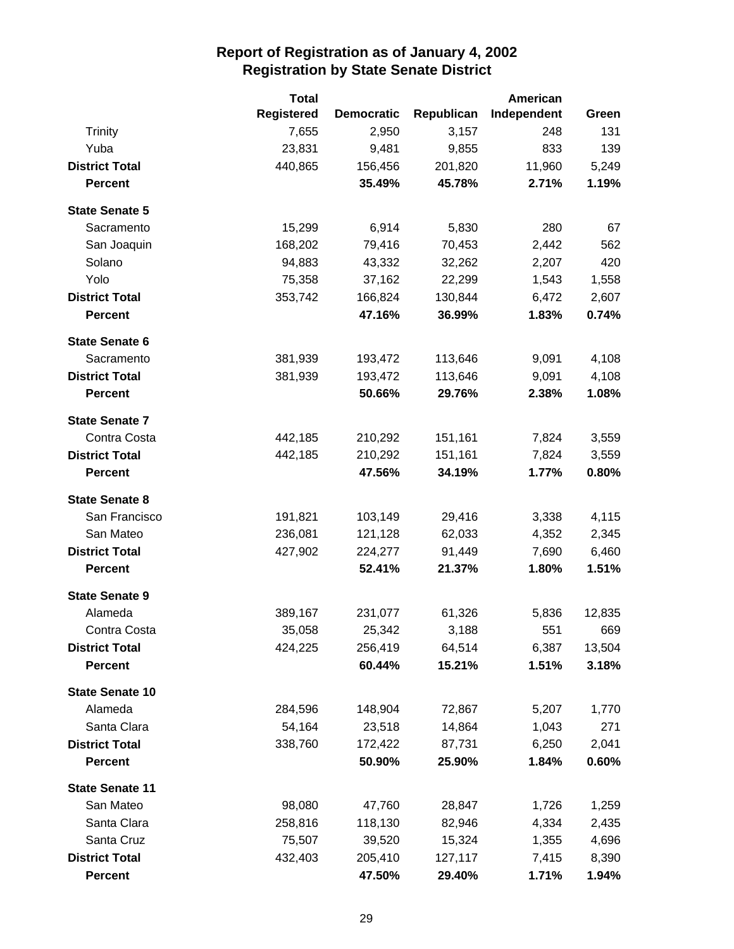|                        | <b>Total</b>      |                   |            | <b>American</b> |        |
|------------------------|-------------------|-------------------|------------|-----------------|--------|
|                        | <b>Registered</b> | <b>Democratic</b> | Republican | Independent     | Green  |
| <b>Trinity</b>         | 7,655             | 2,950             | 3,157      | 248             | 131    |
| Yuba                   | 23,831            | 9,481             | 9,855      | 833             | 139    |
| <b>District Total</b>  | 440,865           | 156,456           | 201,820    | 11,960          | 5,249  |
| <b>Percent</b>         |                   | 35.49%            | 45.78%     | 2.71%           | 1.19%  |
| <b>State Senate 5</b>  |                   |                   |            |                 |        |
| Sacramento             | 15,299            | 6,914             | 5,830      | 280             | 67     |
| San Joaquin            | 168,202           | 79,416            | 70,453     | 2,442           | 562    |
| Solano                 | 94,883            | 43,332            | 32,262     | 2,207           | 420    |
| Yolo                   | 75,358            | 37,162            | 22,299     | 1,543           | 1,558  |
| <b>District Total</b>  | 353,742           | 166,824           | 130,844    | 6,472           | 2,607  |
| <b>Percent</b>         |                   | 47.16%            | 36.99%     | 1.83%           | 0.74%  |
| <b>State Senate 6</b>  |                   |                   |            |                 |        |
| Sacramento             | 381,939           | 193,472           | 113,646    | 9,091           | 4,108  |
| <b>District Total</b>  | 381,939           | 193,472           | 113,646    | 9,091           | 4,108  |
| <b>Percent</b>         |                   | 50.66%            | 29.76%     | 2.38%           | 1.08%  |
| <b>State Senate 7</b>  |                   |                   |            |                 |        |
| Contra Costa           | 442,185           | 210,292           | 151,161    | 7,824           | 3,559  |
| <b>District Total</b>  | 442,185           | 210,292           | 151,161    | 7,824           | 3,559  |
| <b>Percent</b>         |                   | 47.56%            | 34.19%     | 1.77%           | 0.80%  |
| <b>State Senate 8</b>  |                   |                   |            |                 |        |
| San Francisco          | 191,821           | 103,149           | 29,416     | 3,338           | 4,115  |
| San Mateo              | 236,081           | 121,128           | 62,033     | 4,352           | 2,345  |
| <b>District Total</b>  | 427,902           | 224,277           | 91,449     | 7,690           | 6,460  |
| <b>Percent</b>         |                   | 52.41%            | 21.37%     | 1.80%           | 1.51%  |
| <b>State Senate 9</b>  |                   |                   |            |                 |        |
| Alameda                | 389,167           | 231,077           | 61,326     | 5,836           | 12,835 |
| Contra Costa           | 35,058            | 25,342            | 3,188      | 551             | 669    |
| <b>District Total</b>  | 424,225           | 256,419           | 64,514     | 6,387           | 13,504 |
| <b>Percent</b>         |                   | 60.44%            | 15.21%     | 1.51%           | 3.18%  |
| <b>State Senate 10</b> |                   |                   |            |                 |        |
| Alameda                | 284,596           | 148,904           | 72,867     | 5,207           | 1,770  |
| Santa Clara            | 54,164            | 23,518            | 14,864     | 1,043           | 271    |
| <b>District Total</b>  | 338,760           | 172,422           | 87,731     | 6,250           | 2,041  |
| <b>Percent</b>         |                   | 50.90%            | 25.90%     | 1.84%           | 0.60%  |
| <b>State Senate 11</b> |                   |                   |            |                 |        |
| San Mateo              | 98,080            | 47,760            | 28,847     | 1,726           | 1,259  |
| Santa Clara            | 258,816           | 118,130           | 82,946     | 4,334           | 2,435  |
| Santa Cruz             | 75,507            | 39,520            | 15,324     | 1,355           | 4,696  |
| <b>District Total</b>  | 432,403           | 205,410           | 127,117    | 7,415           | 8,390  |
| <b>Percent</b>         |                   | 47.50%            | 29.40%     | 1.71%           | 1.94%  |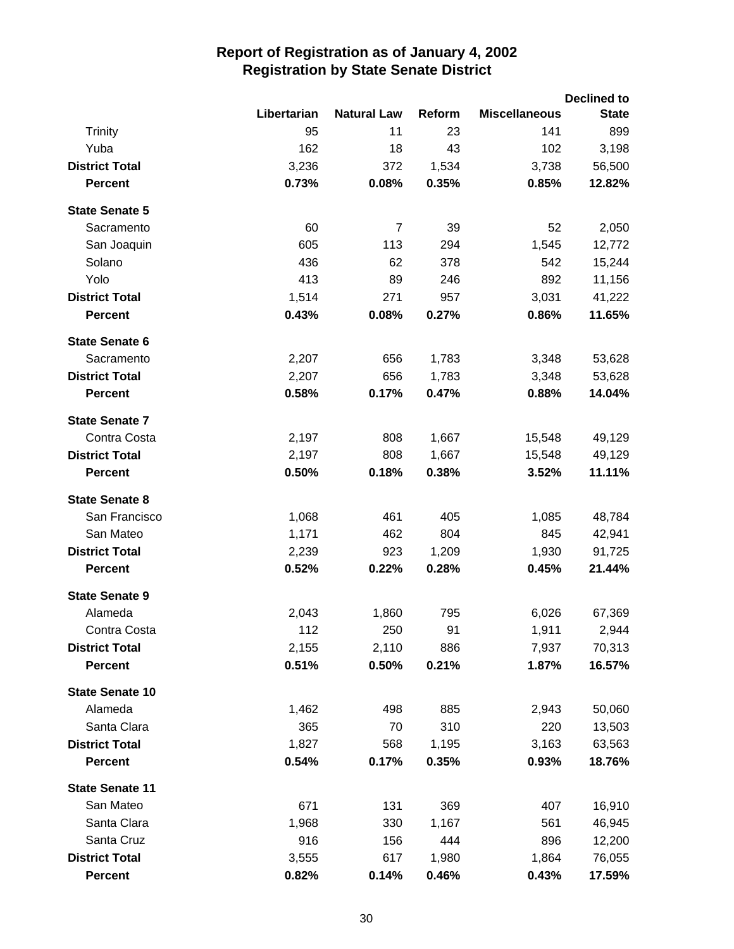|                        |             |                    |        |                      | <b>Declined to</b> |
|------------------------|-------------|--------------------|--------|----------------------|--------------------|
|                        | Libertarian | <b>Natural Law</b> | Reform | <b>Miscellaneous</b> | <b>State</b>       |
| <b>Trinity</b>         | 95          | 11                 | 23     | 141                  | 899                |
| Yuba                   | 162         | 18                 | 43     | 102                  | 3,198              |
| <b>District Total</b>  | 3,236       | 372                | 1,534  | 3,738                | 56,500             |
| <b>Percent</b>         | 0.73%       | 0.08%              | 0.35%  | 0.85%                | 12.82%             |
| <b>State Senate 5</b>  |             |                    |        |                      |                    |
| Sacramento             | 60          | $\overline{7}$     | 39     | 52                   | 2,050              |
| San Joaquin            | 605         | 113                | 294    | 1,545                | 12,772             |
| Solano                 | 436         | 62                 | 378    | 542                  | 15,244             |
| Yolo                   | 413         | 89                 | 246    | 892                  | 11,156             |
| <b>District Total</b>  | 1,514       | 271                | 957    | 3,031                | 41,222             |
| <b>Percent</b>         | 0.43%       | 0.08%              | 0.27%  | 0.86%                | 11.65%             |
| <b>State Senate 6</b>  |             |                    |        |                      |                    |
| Sacramento             | 2,207       | 656                | 1,783  | 3,348                | 53,628             |
| <b>District Total</b>  | 2,207       | 656                | 1,783  | 3,348                | 53,628             |
| <b>Percent</b>         | 0.58%       | 0.17%              | 0.47%  | 0.88%                | 14.04%             |
| <b>State Senate 7</b>  |             |                    |        |                      |                    |
| Contra Costa           | 2,197       | 808                | 1,667  | 15,548               | 49,129             |
| <b>District Total</b>  | 2,197       | 808                | 1,667  | 15,548               | 49,129             |
| <b>Percent</b>         | 0.50%       | 0.18%              | 0.38%  | 3.52%                | 11.11%             |
| <b>State Senate 8</b>  |             |                    |        |                      |                    |
| San Francisco          | 1,068       | 461                | 405    | 1,085                | 48,784             |
| San Mateo              | 1,171       | 462                | 804    | 845                  | 42,941             |
| <b>District Total</b>  | 2,239       | 923                | 1,209  | 1,930                | 91,725             |
| <b>Percent</b>         | 0.52%       | 0.22%              | 0.28%  | 0.45%                | 21.44%             |
| <b>State Senate 9</b>  |             |                    |        |                      |                    |
| Alameda                | 2,043       | 1,860              | 795    | 6,026                | 67,369             |
| Contra Costa           | 112         | 250                | 91     | 1,911                | 2,944              |
| <b>District Total</b>  | 2,155       | 2,110              | 886    | 7,937                | 70,313             |
| <b>Percent</b>         | 0.51%       | 0.50%              | 0.21%  | 1.87%                | 16.57%             |
| <b>State Senate 10</b> |             |                    |        |                      |                    |
| Alameda                | 1,462       | 498                | 885    | 2,943                | 50,060             |
| Santa Clara            | 365         | 70                 | 310    | 220                  | 13,503             |
| <b>District Total</b>  | 1,827       | 568                | 1,195  | 3,163                | 63,563             |
| <b>Percent</b>         | 0.54%       | 0.17%              | 0.35%  | 0.93%                | 18.76%             |
| <b>State Senate 11</b> |             |                    |        |                      |                    |
| San Mateo              | 671         | 131                | 369    | 407                  | 16,910             |
| Santa Clara            | 1,968       | 330                | 1,167  | 561                  | 46,945             |
| Santa Cruz             | 916         | 156                | 444    | 896                  | 12,200             |
| <b>District Total</b>  | 3,555       | 617                | 1,980  | 1,864                | 76,055             |
| <b>Percent</b>         | 0.82%       | 0.14%              | 0.46%  | 0.43%                | 17.59%             |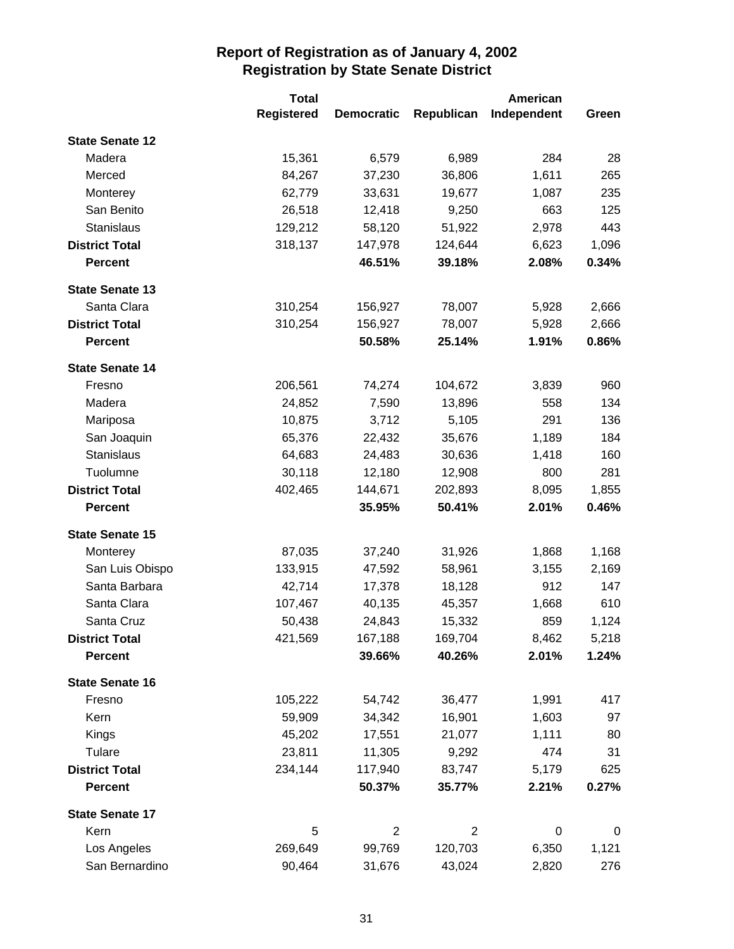|                        | <b>Total</b>      |                   |                | <b>American</b> |                |
|------------------------|-------------------|-------------------|----------------|-----------------|----------------|
|                        | <b>Registered</b> | <b>Democratic</b> | Republican     | Independent     | Green          |
| <b>State Senate 12</b> |                   |                   |                |                 |                |
| Madera                 | 15,361            | 6,579             | 6,989          | 284             | 28             |
| Merced                 | 84,267            | 37,230            | 36,806         | 1,611           | 265            |
| Monterey               | 62,779            | 33,631            | 19,677         | 1,087           | 235            |
| San Benito             | 26,518            | 12,418            | 9,250          | 663             | 125            |
| <b>Stanislaus</b>      | 129,212           | 58,120            | 51,922         | 2,978           | 443            |
| <b>District Total</b>  | 318,137           | 147,978           | 124,644        | 6,623           | 1,096          |
| <b>Percent</b>         |                   | 46.51%            | 39.18%         | 2.08%           | 0.34%          |
| <b>State Senate 13</b> |                   |                   |                |                 |                |
| Santa Clara            | 310,254           | 156,927           | 78,007         | 5,928           | 2,666          |
| <b>District Total</b>  | 310,254           | 156,927           | 78,007         | 5,928           | 2,666          |
| <b>Percent</b>         |                   | 50.58%            | 25.14%         | 1.91%           | 0.86%          |
| <b>State Senate 14</b> |                   |                   |                |                 |                |
| Fresno                 | 206,561           | 74,274            | 104,672        | 3,839           | 960            |
| Madera                 | 24,852            | 7,590             | 13,896         | 558             | 134            |
| Mariposa               | 10,875            | 3,712             | 5,105          | 291             | 136            |
| San Joaquin            | 65,376            | 22,432            | 35,676         | 1,189           | 184            |
| Stanislaus             | 64,683            | 24,483            | 30,636         | 1,418           | 160            |
| Tuolumne               | 30,118            | 12,180            | 12,908         | 800             | 281            |
| <b>District Total</b>  | 402,465           | 144,671           | 202,893        | 8,095           | 1,855          |
| <b>Percent</b>         |                   | 35.95%            | 50.41%         | 2.01%           | 0.46%          |
| <b>State Senate 15</b> |                   |                   |                |                 |                |
| Monterey               | 87,035            | 37,240            | 31,926         | 1,868           | 1,168          |
| San Luis Obispo        | 133,915           | 47,592            | 58,961         | 3,155           | 2,169          |
| Santa Barbara          | 42,714            | 17,378            | 18,128         | 912             | 147            |
| Santa Clara            | 107,467           | 40,135            | 45,357         | 1,668           | 610            |
| Santa Cruz             | 50,438            | 24,843            | 15,332         | 859             | 1,124          |
| <b>District Total</b>  | 421,569           | 167,188           | 169,704        | 8,462           | 5,218          |
| <b>Percent</b>         |                   | 39.66%            | 40.26%         | 2.01%           | 1.24%          |
| <b>State Senate 16</b> |                   |                   |                |                 |                |
| Fresno                 | 105,222           | 54,742            | 36,477         | 1,991           | 417            |
| Kern                   | 59,909            | 34,342            | 16,901         | 1,603           | 97             |
| Kings                  | 45,202            | 17,551            | 21,077         | 1,111           | 80             |
| Tulare                 | 23,811            | 11,305            | 9,292          | 474             | 31             |
| <b>District Total</b>  | 234,144           | 117,940           | 83,747         | 5,179           | 625            |
| <b>Percent</b>         |                   | 50.37%            | 35.77%         | 2.21%           | 0.27%          |
| <b>State Senate 17</b> |                   |                   |                |                 |                |
| Kern                   | 5                 | $\overline{2}$    | $\overline{2}$ | 0               | $\overline{0}$ |
| Los Angeles            | 269,649           | 99,769            | 120,703        | 6,350           | 1,121          |
| San Bernardino         | 90,464            | 31,676            | 43,024         | 2,820           | 276            |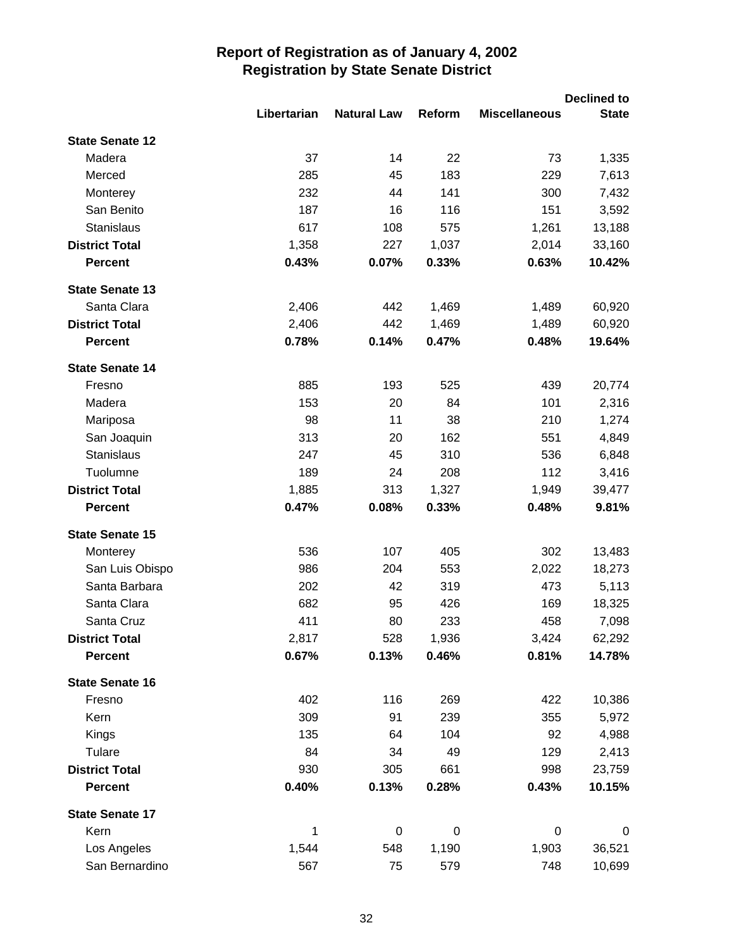|                        |             |                    |             |                      | <b>Declined to</b> |
|------------------------|-------------|--------------------|-------------|----------------------|--------------------|
|                        | Libertarian | <b>Natural Law</b> | Reform      | <b>Miscellaneous</b> | <b>State</b>       |
| <b>State Senate 12</b> |             |                    |             |                      |                    |
| Madera                 | 37          | 14                 | 22          | 73                   | 1,335              |
| Merced                 | 285         | 45                 | 183         | 229                  | 7,613              |
| Monterey               | 232         | 44                 | 141         | 300                  | 7,432              |
| San Benito             | 187         | 16                 | 116         | 151                  | 3,592              |
| Stanislaus             | 617         | 108                | 575         | 1,261                | 13,188             |
| <b>District Total</b>  | 1,358       | 227                | 1,037       | 2,014                | 33,160             |
| <b>Percent</b>         | 0.43%       | 0.07%              | 0.33%       | 0.63%                | 10.42%             |
| <b>State Senate 13</b> |             |                    |             |                      |                    |
| Santa Clara            | 2,406       | 442                | 1,469       | 1,489                | 60,920             |
| <b>District Total</b>  | 2,406       | 442                | 1,469       | 1,489                | 60,920             |
| <b>Percent</b>         | 0.78%       | 0.14%              | 0.47%       | 0.48%                | 19.64%             |
| <b>State Senate 14</b> |             |                    |             |                      |                    |
| Fresno                 | 885         | 193                | 525         | 439                  | 20,774             |
| Madera                 | 153         | 20                 | 84          | 101                  | 2,316              |
| Mariposa               | 98          | 11                 | 38          | 210                  | 1,274              |
| San Joaquin            | 313         | 20                 | 162         | 551                  | 4,849              |
| Stanislaus             | 247         | 45                 | 310         | 536                  | 6,848              |
| Tuolumne               | 189         | 24                 | 208         | 112                  | 3,416              |
| <b>District Total</b>  | 1,885       | 313                | 1,327       | 1,949                | 39,477             |
| <b>Percent</b>         | 0.47%       | 0.08%              | 0.33%       | 0.48%                | 9.81%              |
| <b>State Senate 15</b> |             |                    |             |                      |                    |
| Monterey               | 536         | 107                | 405         | 302                  | 13,483             |
| San Luis Obispo        | 986         | 204                | 553         | 2,022                | 18,273             |
| Santa Barbara          | 202         | 42                 | 319         | 473                  | 5,113              |
| Santa Clara            | 682         | 95                 | 426         | 169                  | 18,325             |
| Santa Cruz             | 411         | 80                 | 233         | 458                  | 7,098              |
| <b>District Total</b>  | 2,817       | 528                | 1,936       | 3,424                | 62,292             |
| <b>Percent</b>         | 0.67%       | 0.13%              | 0.46%       | 0.81%                | 14.78%             |
| <b>State Senate 16</b> |             |                    |             |                      |                    |
| Fresno                 | 402         | 116                | 269         | 422                  | 10,386             |
| Kern                   | 309         | 91                 | 239         | 355                  | 5,972              |
| Kings                  | 135         | 64                 | 104         | 92                   | 4,988              |
| Tulare                 | 84          | 34                 | 49          | 129                  | 2,413              |
| <b>District Total</b>  | 930         | 305                | 661         | 998                  | 23,759             |
| <b>Percent</b>         | 0.40%       | 0.13%              | 0.28%       | 0.43%                | 10.15%             |
| <b>State Senate 17</b> |             |                    |             |                      |                    |
| Kern                   | 1           | $\pmb{0}$          | $\mathbf 0$ | 0                    | 0                  |
| Los Angeles            | 1,544       | 548                | 1,190       | 1,903                | 36,521             |
| San Bernardino         | 567         | 75                 | 579         | 748                  | 10,699             |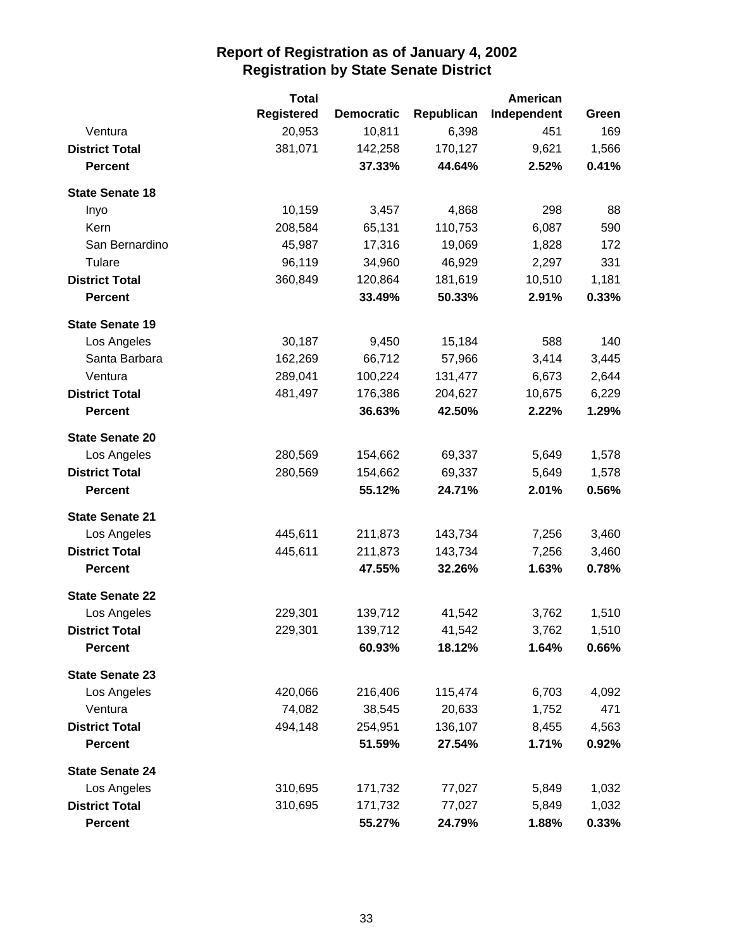|                        | <b>Total</b>      |                   | <b>American</b> |             |       |
|------------------------|-------------------|-------------------|-----------------|-------------|-------|
|                        | <b>Registered</b> | <b>Democratic</b> | Republican      | Independent | Green |
| Ventura                | 20,953            | 10,811            | 6,398           | 451         | 169   |
| <b>District Total</b>  | 381,071           | 142,258           | 170,127         | 9,621       | 1,566 |
| <b>Percent</b>         |                   | 37.33%            | 44.64%          | 2.52%       | 0.41% |
| <b>State Senate 18</b> |                   |                   |                 |             |       |
| Inyo                   | 10,159            | 3,457             | 4,868           | 298         | 88    |
| Kern                   | 208,584           | 65,131            | 110,753         | 6,087       | 590   |
| San Bernardino         | 45,987            | 17,316            | 19,069          | 1,828       | 172   |
| Tulare                 | 96,119            | 34,960            | 46,929          | 2,297       | 331   |
| <b>District Total</b>  | 360,849           | 120,864           | 181,619         | 10,510      | 1,181 |
| <b>Percent</b>         |                   | 33.49%            | 50.33%          | 2.91%       | 0.33% |
| <b>State Senate 19</b> |                   |                   |                 |             |       |
| Los Angeles            | 30,187            | 9,450             | 15,184          | 588         | 140   |
| Santa Barbara          | 162,269           | 66,712            | 57,966          | 3,414       | 3,445 |
| Ventura                | 289,041           | 100,224           | 131,477         | 6,673       | 2,644 |
| <b>District Total</b>  | 481,497           | 176,386           | 204,627         | 10,675      | 6,229 |
| <b>Percent</b>         |                   | 36.63%            | 42.50%          | 2.22%       | 1.29% |
| <b>State Senate 20</b> |                   |                   |                 |             |       |
| Los Angeles            | 280,569           | 154,662           | 69,337          | 5,649       | 1,578 |
| <b>District Total</b>  | 280,569           | 154,662           | 69,337          | 5,649       | 1,578 |
| <b>Percent</b>         |                   | 55.12%            | 24.71%          | 2.01%       | 0.56% |
| <b>State Senate 21</b> |                   |                   |                 |             |       |
| Los Angeles            | 445,611           | 211,873           | 143,734         | 7,256       | 3,460 |
| <b>District Total</b>  | 445,611           | 211,873           | 143,734         | 7,256       | 3,460 |
| <b>Percent</b>         |                   | 47.55%            | 32.26%          | 1.63%       | 0.78% |
| <b>State Senate 22</b> |                   |                   |                 |             |       |
| Los Angeles            | 229,301           | 139,712           | 41,542          | 3,762       | 1,510 |
| <b>District Total</b>  | 229,301           | 139,712           | 41,542          | 3,762       | 1,510 |
| <b>Percent</b>         |                   | 60.93%            | 18.12%          | 1.64%       | 0.66% |
| <b>State Senate 23</b> |                   |                   |                 |             |       |
| Los Angeles            | 420,066           | 216,406           | 115,474         | 6,703       | 4,092 |
| Ventura                | 74,082            | 38,545            | 20,633          | 1,752       | 471   |
| <b>District Total</b>  | 494,148           | 254,951           | 136,107         | 8,455       | 4,563 |
| <b>Percent</b>         |                   | 51.59%            | 27.54%          | 1.71%       | 0.92% |
| <b>State Senate 24</b> |                   |                   |                 |             |       |
| Los Angeles            | 310,695           | 171,732           | 77,027          | 5,849       | 1,032 |
| <b>District Total</b>  | 310,695           | 171,732           | 77,027          | 5,849       | 1,032 |
| <b>Percent</b>         |                   | 55.27%            | 24.79%          | 1.88%       | 0.33% |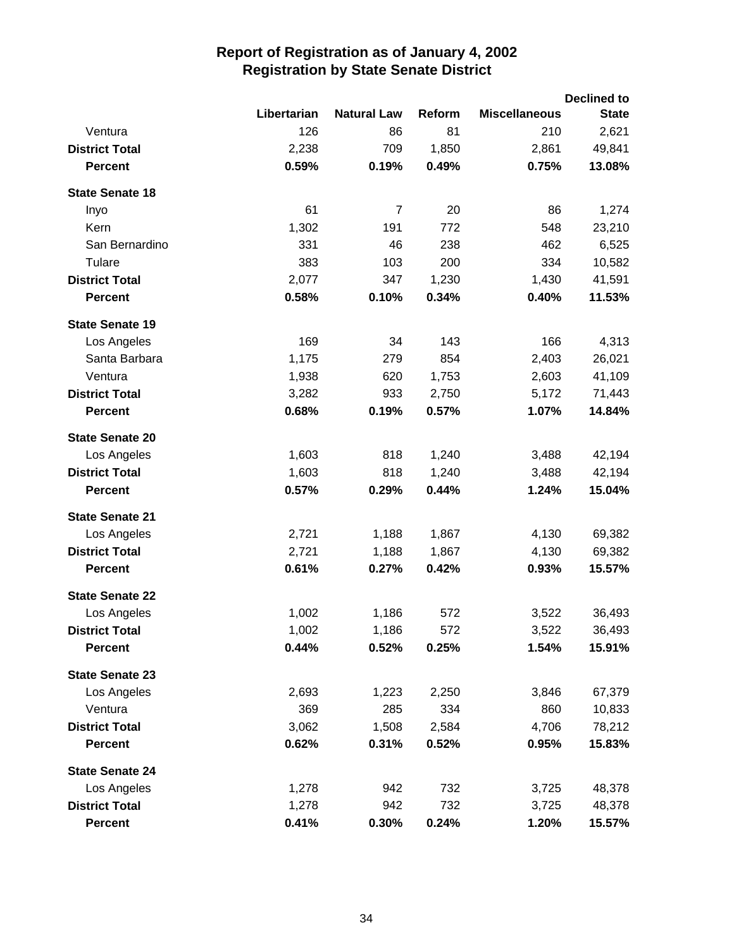|                        |             |                    |        |                      | <b>Declined to</b> |
|------------------------|-------------|--------------------|--------|----------------------|--------------------|
|                        | Libertarian | <b>Natural Law</b> | Reform | <b>Miscellaneous</b> | <b>State</b>       |
| Ventura                | 126         | 86                 | 81     | 210                  | 2,621              |
| <b>District Total</b>  | 2,238       | 709                | 1,850  | 2,861                | 49,841             |
| <b>Percent</b>         | 0.59%       | 0.19%              | 0.49%  | 0.75%                | 13.08%             |
| <b>State Senate 18</b> |             |                    |        |                      |                    |
| Inyo                   | 61          | $\overline{7}$     | 20     | 86                   | 1,274              |
| Kern                   | 1,302       | 191                | 772    | 548                  | 23,210             |
| San Bernardino         | 331         | 46                 | 238    | 462                  | 6,525              |
| Tulare                 | 383         | 103                | 200    | 334                  | 10,582             |
| <b>District Total</b>  | 2,077       | 347                | 1,230  | 1,430                | 41,591             |
| <b>Percent</b>         | 0.58%       | 0.10%              | 0.34%  | 0.40%                | 11.53%             |
| <b>State Senate 19</b> |             |                    |        |                      |                    |
| Los Angeles            | 169         | 34                 | 143    | 166                  | 4,313              |
| Santa Barbara          | 1,175       | 279                | 854    | 2,403                | 26,021             |
| Ventura                | 1,938       | 620                | 1,753  | 2,603                | 41,109             |
| <b>District Total</b>  | 3,282       | 933                | 2,750  | 5,172                | 71,443             |
| <b>Percent</b>         | 0.68%       | 0.19%              | 0.57%  | 1.07%                | 14.84%             |
| <b>State Senate 20</b> |             |                    |        |                      |                    |
| Los Angeles            | 1,603       | 818                | 1,240  | 3,488                | 42,194             |
| <b>District Total</b>  | 1,603       | 818                | 1,240  | 3,488                | 42,194             |
| <b>Percent</b>         | 0.57%       | 0.29%              | 0.44%  | 1.24%                | 15.04%             |
| <b>State Senate 21</b> |             |                    |        |                      |                    |
| Los Angeles            | 2,721       | 1,188              | 1,867  | 4,130                | 69,382             |
| <b>District Total</b>  | 2,721       | 1,188              | 1,867  | 4,130                | 69,382             |
| <b>Percent</b>         | 0.61%       | 0.27%              | 0.42%  | 0.93%                | 15.57%             |
| <b>State Senate 22</b> |             |                    |        |                      |                    |
| Los Angeles            | 1,002       | 1,186              | 572    | 3,522                | 36,493             |
| <b>District Total</b>  | 1,002       | 1,186              | 572    | 3,522                | 36,493             |
| <b>Percent</b>         | 0.44%       | 0.52%              | 0.25%  | 1.54%                | 15.91%             |
| <b>State Senate 23</b> |             |                    |        |                      |                    |
| Los Angeles            | 2,693       | 1,223              | 2,250  | 3,846                | 67,379             |
| Ventura                | 369         | 285                | 334    | 860                  | 10,833             |
| <b>District Total</b>  | 3,062       | 1,508              | 2,584  | 4,706                | 78,212             |
| <b>Percent</b>         | 0.62%       | 0.31%              | 0.52%  | 0.95%                | 15.83%             |
| <b>State Senate 24</b> |             |                    |        |                      |                    |
| Los Angeles            | 1,278       | 942                | 732    | 3,725                | 48,378             |
| <b>District Total</b>  | 1,278       | 942                | 732    | 3,725                | 48,378             |
| <b>Percent</b>         | 0.41%       | 0.30%              | 0.24%  | 1.20%                | 15.57%             |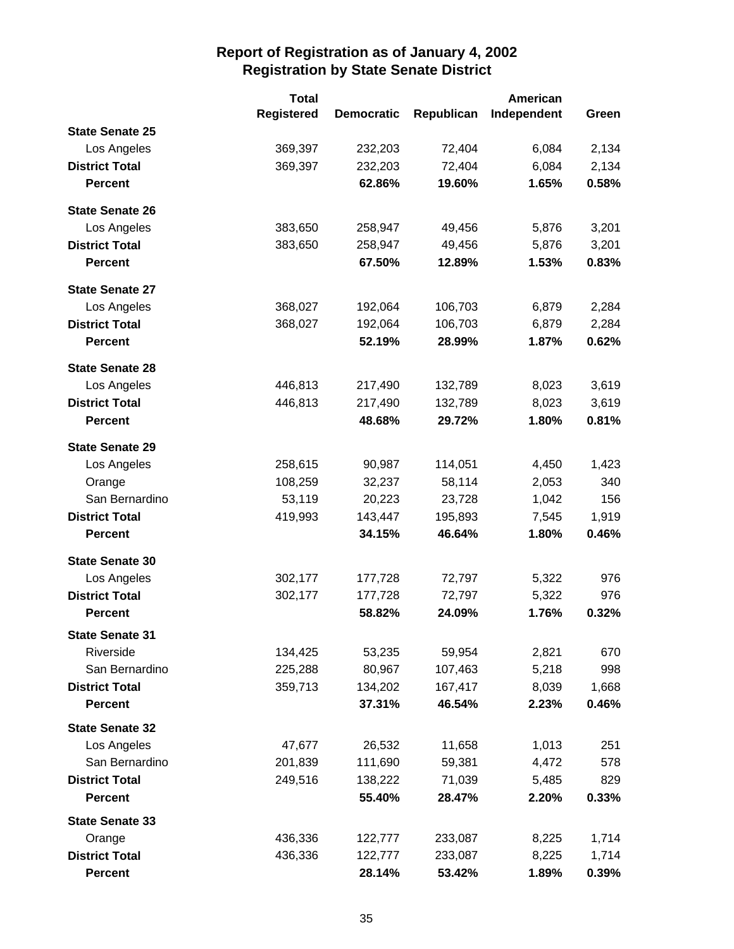|                        | <b>Total</b>      |                   |            | American    |       |
|------------------------|-------------------|-------------------|------------|-------------|-------|
|                        | <b>Registered</b> | <b>Democratic</b> | Republican | Independent | Green |
| <b>State Senate 25</b> |                   |                   |            |             |       |
| Los Angeles            | 369,397           | 232,203           | 72,404     | 6,084       | 2,134 |
| <b>District Total</b>  | 369,397           | 232,203           | 72,404     | 6,084       | 2,134 |
| <b>Percent</b>         |                   | 62.86%            | 19.60%     | 1.65%       | 0.58% |
| <b>State Senate 26</b> |                   |                   |            |             |       |
| Los Angeles            | 383,650           | 258,947           | 49,456     | 5,876       | 3,201 |
| <b>District Total</b>  | 383,650           | 258,947           | 49,456     | 5,876       | 3,201 |
| <b>Percent</b>         |                   | 67.50%            | 12.89%     | 1.53%       | 0.83% |
| <b>State Senate 27</b> |                   |                   |            |             |       |
| Los Angeles            | 368,027           | 192,064           | 106,703    | 6,879       | 2,284 |
| <b>District Total</b>  | 368,027           | 192,064           | 106,703    | 6,879       | 2,284 |
| <b>Percent</b>         |                   | 52.19%            | 28.99%     | 1.87%       | 0.62% |
| <b>State Senate 28</b> |                   |                   |            |             |       |
| Los Angeles            | 446,813           | 217,490           | 132,789    | 8,023       | 3,619 |
| <b>District Total</b>  | 446,813           | 217,490           | 132,789    | 8,023       | 3,619 |
| <b>Percent</b>         |                   | 48.68%            | 29.72%     | 1.80%       | 0.81% |
| <b>State Senate 29</b> |                   |                   |            |             |       |
| Los Angeles            | 258,615           | 90,987            | 114,051    | 4,450       | 1,423 |
| Orange                 | 108,259           | 32,237            | 58,114     | 2,053       | 340   |
| San Bernardino         | 53,119            | 20,223            | 23,728     | 1,042       | 156   |
| <b>District Total</b>  | 419,993           | 143,447           | 195,893    | 7,545       | 1,919 |
| <b>Percent</b>         |                   | 34.15%            | 46.64%     | 1.80%       | 0.46% |
| <b>State Senate 30</b> |                   |                   |            |             |       |
| Los Angeles            | 302,177           | 177,728           | 72,797     | 5,322       | 976   |
| <b>District Total</b>  | 302,177           | 177,728           | 72,797     | 5,322       | 976   |
| <b>Percent</b>         |                   | 58.82%            | 24.09%     | 1.76%       | 0.32% |
| <b>State Senate 31</b> |                   |                   |            |             |       |
| Riverside              | 134,425           | 53,235            | 59,954     | 2,821       | 670   |
| San Bernardino         | 225,288           | 80,967            | 107,463    | 5,218       | 998   |
| <b>District Total</b>  | 359,713           | 134,202           | 167,417    | 8,039       | 1,668 |
| <b>Percent</b>         |                   | 37.31%            | 46.54%     | 2.23%       | 0.46% |
| <b>State Senate 32</b> |                   |                   |            |             |       |
| Los Angeles            | 47,677            | 26,532            | 11,658     | 1,013       | 251   |
| San Bernardino         | 201,839           | 111,690           | 59,381     | 4,472       | 578   |
| <b>District Total</b>  | 249,516           | 138,222           | 71,039     | 5,485       | 829   |
| <b>Percent</b>         |                   | 55.40%            | 28.47%     | 2.20%       | 0.33% |
| <b>State Senate 33</b> |                   |                   |            |             |       |
| Orange                 | 436,336           | 122,777           | 233,087    | 8,225       | 1,714 |
| <b>District Total</b>  | 436,336           | 122,777           | 233,087    | 8,225       | 1,714 |
| <b>Percent</b>         |                   | 28.14%            | 53.42%     | 1.89%       | 0.39% |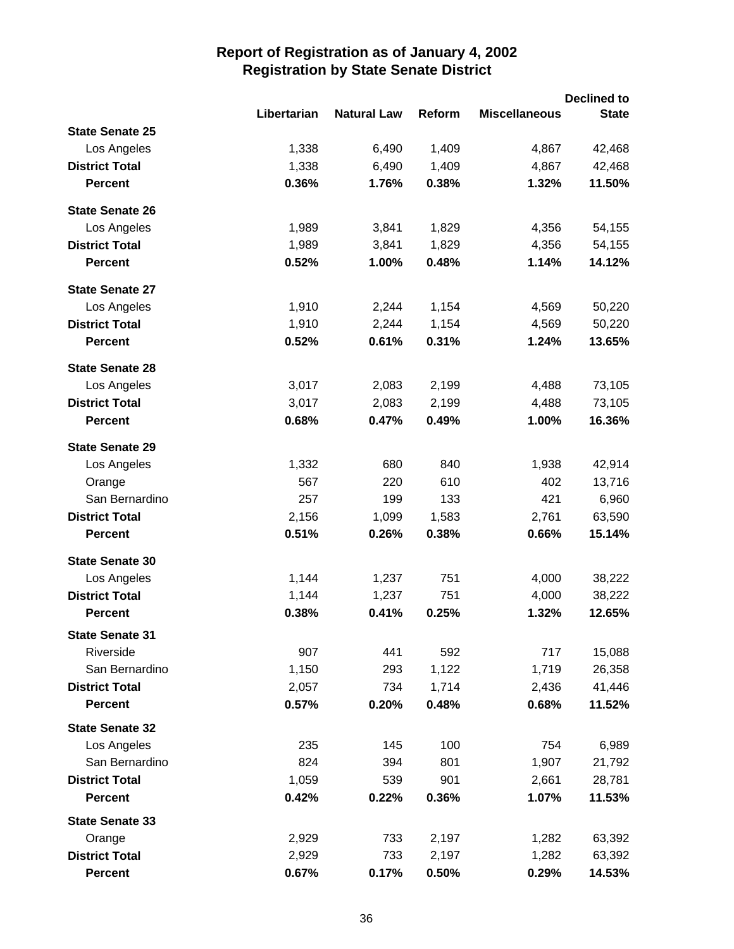|                        |             |                    |        |                      | <b>Declined to</b> |
|------------------------|-------------|--------------------|--------|----------------------|--------------------|
|                        | Libertarian | <b>Natural Law</b> | Reform | <b>Miscellaneous</b> | <b>State</b>       |
| <b>State Senate 25</b> |             |                    |        |                      |                    |
| Los Angeles            | 1,338       | 6,490              | 1,409  | 4,867                | 42,468             |
| <b>District Total</b>  | 1,338       | 6,490              | 1,409  | 4,867                | 42,468             |
| <b>Percent</b>         | 0.36%       | 1.76%              | 0.38%  | 1.32%                | 11.50%             |
| <b>State Senate 26</b> |             |                    |        |                      |                    |
| Los Angeles            | 1,989       | 3,841              | 1,829  | 4,356                | 54,155             |
| <b>District Total</b>  | 1,989       | 3,841              | 1,829  | 4,356                | 54,155             |
| <b>Percent</b>         | 0.52%       | 1.00%              | 0.48%  | 1.14%                | 14.12%             |
| <b>State Senate 27</b> |             |                    |        |                      |                    |
| Los Angeles            | 1,910       | 2,244              | 1,154  | 4,569                | 50,220             |
| <b>District Total</b>  | 1,910       | 2,244              | 1,154  | 4,569                | 50,220             |
| <b>Percent</b>         | 0.52%       | 0.61%              | 0.31%  | 1.24%                | 13.65%             |
| <b>State Senate 28</b> |             |                    |        |                      |                    |
| Los Angeles            | 3,017       | 2,083              | 2,199  | 4,488                | 73,105             |
| <b>District Total</b>  | 3,017       | 2,083              | 2,199  | 4,488                | 73,105             |
| <b>Percent</b>         | 0.68%       | 0.47%              | 0.49%  | 1.00%                | 16.36%             |
| <b>State Senate 29</b> |             |                    |        |                      |                    |
| Los Angeles            | 1,332       | 680                | 840    | 1,938                | 42,914             |
| Orange                 | 567         | 220                | 610    | 402                  | 13,716             |
| San Bernardino         | 257         | 199                | 133    | 421                  | 6,960              |
| <b>District Total</b>  | 2,156       | 1,099              | 1,583  | 2,761                | 63,590             |
| <b>Percent</b>         | 0.51%       | 0.26%              | 0.38%  | 0.66%                | 15.14%             |
| <b>State Senate 30</b> |             |                    |        |                      |                    |
| Los Angeles            | 1,144       | 1,237              | 751    | 4,000                | 38,222             |
| <b>District Total</b>  | 1,144       | 1,237              | 751    | 4,000                | 38,222             |
| <b>Percent</b>         | 0.38%       | 0.41%              | 0.25%  | 1.32%                | 12.65%             |
| <b>State Senate 31</b> |             |                    |        |                      |                    |
| Riverside              | 907         | 441                | 592    | 717                  | 15,088             |
| San Bernardino         | 1,150       | 293                | 1,122  | 1,719                | 26,358             |
| <b>District Total</b>  | 2,057       | 734                | 1,714  | 2,436                | 41,446             |
| <b>Percent</b>         | 0.57%       | 0.20%              | 0.48%  | 0.68%                | 11.52%             |
| <b>State Senate 32</b> |             |                    |        |                      |                    |
| Los Angeles            | 235         | 145                | 100    | 754                  | 6,989              |
| San Bernardino         | 824         | 394                | 801    | 1,907                | 21,792             |
| <b>District Total</b>  | 1,059       | 539                | 901    | 2,661                | 28,781             |
| <b>Percent</b>         | 0.42%       | 0.22%              | 0.36%  | 1.07%                | 11.53%             |
| <b>State Senate 33</b> |             |                    |        |                      |                    |
| Orange                 | 2,929       | 733                | 2,197  | 1,282                | 63,392             |
| <b>District Total</b>  | 2,929       | 733                | 2,197  | 1,282                | 63,392             |
| <b>Percent</b>         | 0.67%       | 0.17%              | 0.50%  | 0.29%                | 14.53%             |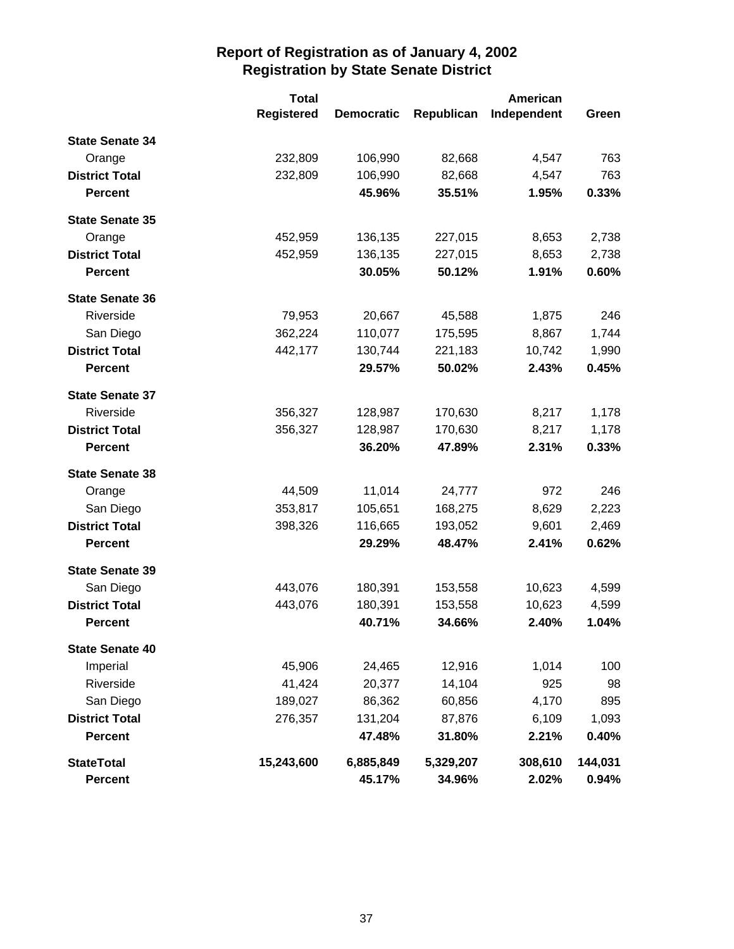|                        | <b>Total</b>      |                   |            | <b>American</b> |         |
|------------------------|-------------------|-------------------|------------|-----------------|---------|
|                        | <b>Registered</b> | <b>Democratic</b> | Republican | Independent     | Green   |
| <b>State Senate 34</b> |                   |                   |            |                 |         |
| Orange                 | 232,809           | 106,990           | 82,668     | 4,547           | 763     |
| <b>District Total</b>  | 232,809           | 106,990           | 82,668     | 4,547           | 763     |
| <b>Percent</b>         |                   | 45.96%            | 35.51%     | 1.95%           | 0.33%   |
| <b>State Senate 35</b> |                   |                   |            |                 |         |
| Orange                 | 452,959           | 136,135           | 227,015    | 8,653           | 2,738   |
| <b>District Total</b>  | 452,959           | 136,135           | 227,015    | 8,653           | 2,738   |
| <b>Percent</b>         |                   | 30.05%            | 50.12%     | 1.91%           | 0.60%   |
| <b>State Senate 36</b> |                   |                   |            |                 |         |
| Riverside              | 79,953            | 20,667            | 45,588     | 1,875           | 246     |
| San Diego              | 362,224           | 110,077           | 175,595    | 8,867           | 1,744   |
| <b>District Total</b>  | 442,177           | 130,744           | 221,183    | 10,742          | 1,990   |
| <b>Percent</b>         |                   | 29.57%            | 50.02%     | 2.43%           | 0.45%   |
| <b>State Senate 37</b> |                   |                   |            |                 |         |
| Riverside              | 356,327           | 128,987           | 170,630    | 8,217           | 1,178   |
| <b>District Total</b>  | 356,327           | 128,987           | 170,630    | 8,217           | 1,178   |
| <b>Percent</b>         |                   | 36.20%            | 47.89%     | 2.31%           | 0.33%   |
| <b>State Senate 38</b> |                   |                   |            |                 |         |
| Orange                 | 44,509            | 11,014            | 24,777     | 972             | 246     |
| San Diego              | 353,817           | 105,651           | 168,275    | 8,629           | 2,223   |
| <b>District Total</b>  | 398,326           | 116,665           | 193,052    | 9,601           | 2,469   |
| <b>Percent</b>         |                   | 29.29%            | 48.47%     | 2.41%           | 0.62%   |
| <b>State Senate 39</b> |                   |                   |            |                 |         |
| San Diego              | 443,076           | 180,391           | 153,558    | 10,623          | 4,599   |
| <b>District Total</b>  | 443,076           | 180,391           | 153,558    | 10,623          | 4,599   |
| <b>Percent</b>         |                   | 40.71%            | 34.66%     | 2.40%           | 1.04%   |
| <b>State Senate 40</b> |                   |                   |            |                 |         |
| Imperial               | 45,906            | 24,465            | 12,916     | 1,014           | 100     |
| Riverside              | 41,424            | 20,377            | 14,104     | 925             | 98      |
| San Diego              | 189,027           | 86,362            | 60,856     | 4,170           | 895     |
| <b>District Total</b>  | 276,357           | 131,204           | 87,876     | 6,109           | 1,093   |
| <b>Percent</b>         |                   | 47.48%            | 31.80%     | 2.21%           | 0.40%   |
| <b>StateTotal</b>      | 15,243,600        | 6,885,849         | 5,329,207  | 308,610         | 144,031 |
| <b>Percent</b>         |                   | 45.17%            | 34.96%     | 2.02%           | 0.94%   |